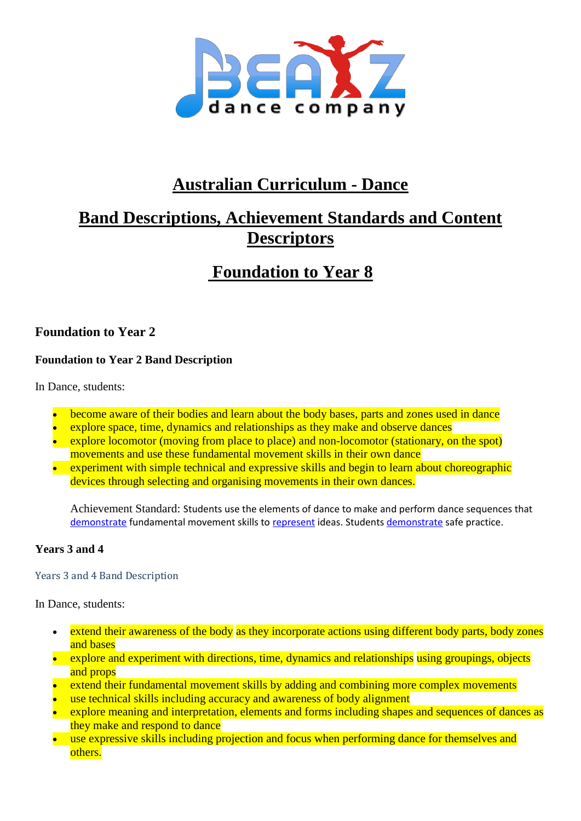

# **Australian Curriculum - Dance**

# **Band Descriptions, Achievement Standards and Content Descriptors**

# **Foundation to Year 8**

# **Foundation to Year 2**

# **Foundation to Year 2 Band Description**

In Dance, students:

- become aware of their bodies and learn about the body bases, parts and zones used in dance
- explore space, time, dynamics and relationships as they make and observe dances
- explore locomotor (moving from place to place) and non-locomotor (stationary, on the spot) movements and use these fundamental movement skills in their own dance
- experiment with simple technical and expressive skills and begin to learn about choreographic devices through selecting and organising movements in their own dances.

Achievement Standard: Students use the elements of dance to make and perform dance sequences that [demonstrate](http://www.australiancurriculum.edu.au/glossary/popup?a=F10AS&t=Demonstrate) fundamental movement skills to [represent](http://www.australiancurriculum.edu.au/glossary/popup?a=F10AS&t=Represent) ideas. Students [demonstrate](http://www.australiancurriculum.edu.au/glossary/popup?a=F10AS&t=Demonstrate) safe practice.

## **Years 3 and 4**

#### Years 3 and 4 Band Description

In Dance, students:

- extend their awareness of the body as they incorporate actions using different body parts, body zones and bases
- explore and experiment with directions, time, dynamics and relationships using groupings, objects and props
- extend their fundamental movement skills by adding and combining more complex movements
- use technical skills including accuracy and awareness of body alignment
- explore meaning and interpretation, elements and forms including shapes and sequences of dances as they make and respond to dance
- use expressive skills including projection and focus when performing dance for themselves and others.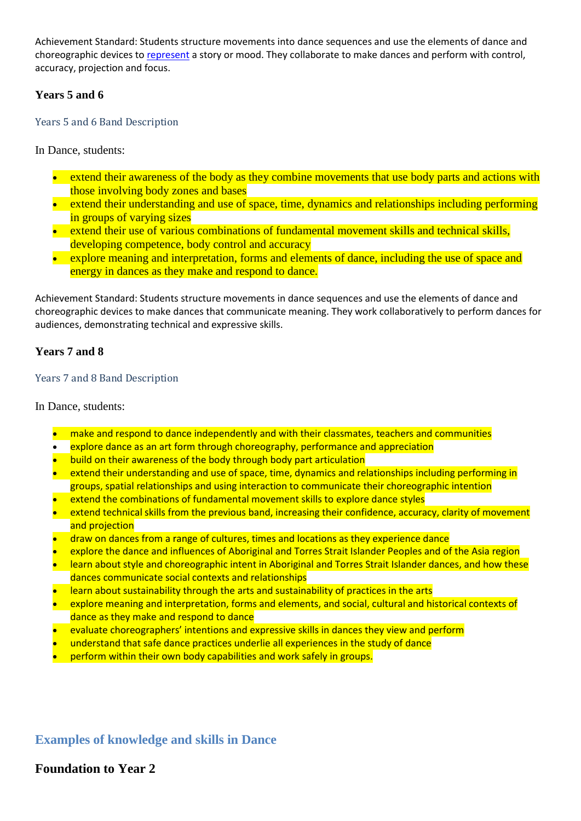Achievement Standard: Students structure movements into dance sequences and use the elements of dance and choreographic devices to [represent](http://www.australiancurriculum.edu.au/glossary/popup?a=F10AS&t=Represent) a story or mood. They collaborate to make dances and perform with control, accuracy, projection and focus.

#### **Years 5 and 6**

Years 5 and 6 Band Description

In Dance, students:

- extend their awareness of the body as they combine movements that use body parts and actions with those involving body zones and bases
- extend their understanding and use of space, time, dynamics and relationships including performing in groups of varying sizes
- extend their use of various combinations of fundamental movement skills and technical skills, developing competence, body control and accuracy
- explore meaning and interpretation, forms and elements of dance, including the use of space and energy in dances as they make and respond to dance.

Achievement Standard: Students structure movements in dance sequences and use the elements of dance and choreographic devices to make dances that communicate meaning. They work collaboratively to perform dances for audiences, demonstrating technical and expressive skills.

#### **Years 7 and 8**

#### Years 7 and 8 Band Description

In Dance, students:

- make and respond to dance independently and with their classmates, teachers and communities
- explore dance as an art form through choreography, performance and appreciation
- build on their awareness of the body through body part articulation
- extend their understanding and use of space, time, dynamics and relationships including performing in groups, spatial relationships and using interaction to communicate their choreographic intention
- extend the combinations of fundamental movement skills to explore dance styles
- extend technical skills from the previous band, increasing their confidence, accuracy, clarity of movement and projection
- draw on dances from a range of cultures, times and locations as they experience dance
- explore the dance and influences of Aboriginal and Torres Strait Islander Peoples and of the Asia region
- learn about style and choreographic intent in Aboriginal and Torres Strait Islander dances, and how these dances communicate social contexts and relationships
- learn about sustainability through the arts and sustainability of practices in the arts
- explore meaning and interpretation, forms and elements, and social, cultural and historical contexts of dance as they make and respond to dance
- evaluate choreographers' intentions and expressive skills in dances they view and perform
- understand that safe dance practices underlie all experiences in the study of dance
- perform within their own body capabilities and work safely in groups.

# **Examples of knowledge and skills in Dance**

# **Foundation to Year 2**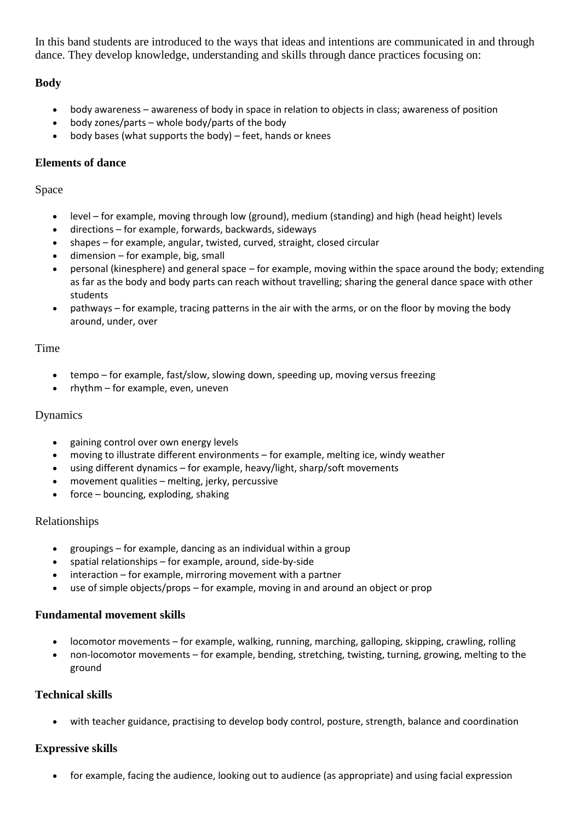In this band students are introduced to the ways that ideas and intentions are communicated in and through dance. They develop knowledge, understanding and skills through dance practices focusing on:

# **Body**

- body awareness awareness of body in space in relation to objects in class; awareness of position
- body zones/parts whole body/parts of the body
- body bases (what supports the body) feet, hands or knees

# **Elements of dance**

## Space

- level for example, moving through low (ground), medium (standing) and high (head height) levels
- directions for example, forwards, backwards, sideways
- shapes for example, angular, twisted, curved, straight, closed circular
- dimension for example, big, small
- personal (kinesphere) and general space for example, moving within the space around the body; extending as far as the body and body parts can reach without travelling; sharing the general dance space with other students
- pathways for example, tracing patterns in the air with the arms, or on the floor by moving the body around, under, over

# Time

- tempo for example, fast/slow, slowing down, speeding up, moving versus freezing
- $\bullet$  rhythm for example, even, uneven

## Dynamics

- gaining control over own energy levels
- moving to illustrate different environments for example, melting ice, windy weather
- using different dynamics for example, heavy/light, sharp/soft movements
- movement qualities melting, jerky, percussive
- $\bullet$  force bouncing, exploding, shaking

## Relationships

- groupings for example, dancing as an individual within a group
- spatial relationships for example, around, side-by-side
- interaction for example, mirroring movement with a partner
- use of simple objects/props for example, moving in and around an object or prop

## **Fundamental movement skills**

- locomotor movements for example, walking, running, marching, galloping, skipping, crawling, rolling
- non-locomotor movements for example, bending, stretching, twisting, turning, growing, melting to the ground

# **Technical skills**

with teacher guidance, practising to develop body control, posture, strength, balance and coordination

# **Expressive skills**

for example, facing the audience, looking out to audience (as appropriate) and using facial expression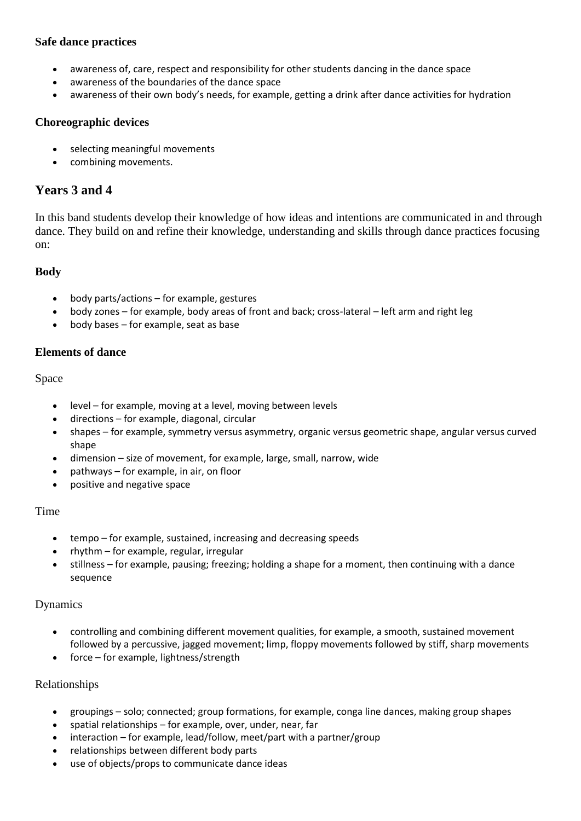#### **Safe dance practices**

- awareness of, care, respect and responsibility for other students dancing in the dance space
- awareness of the boundaries of the dance space
- awareness of their own body's needs, for example, getting a drink after dance activities for hydration

#### **Choreographic devices**

- selecting meaningful movements
- combining movements.

# **Years 3 and 4**

In this band students develop their knowledge of how ideas and intentions are communicated in and through dance. They build on and refine their knowledge, understanding and skills through dance practices focusing on:

# **Body**

- body parts/actions for example, gestures
- body zones for example, body areas of front and back; cross-lateral left arm and right leg
- body bases for example, seat as base

#### **Elements of dance**

#### Space

- level for example, moving at a level, moving between levels
- directions for example, diagonal, circular
- shapes for example, symmetry versus asymmetry, organic versus geometric shape, angular versus curved shape
- dimension size of movement, for example, large, small, narrow, wide
- pathways for example, in air, on floor
- positive and negative space

## Time

- tempo for example, sustained, increasing and decreasing speeds
- rhythm for example, regular, irregular
- stillness for example, pausing; freezing; holding a shape for a moment, then continuing with a dance sequence

## Dynamics

- controlling and combining different movement qualities, for example, a smooth, sustained movement followed by a percussive, jagged movement; limp, floppy movements followed by stiff, sharp movements
- force for example, lightness/strength

## Relationships

- groupings solo; connected; group formations, for example, conga line dances, making group shapes
- spatial relationships for example, over, under, near, far
- interaction for example, lead/follow, meet/part with a partner/group
- relationships between different body parts
- use of objects/props to communicate dance ideas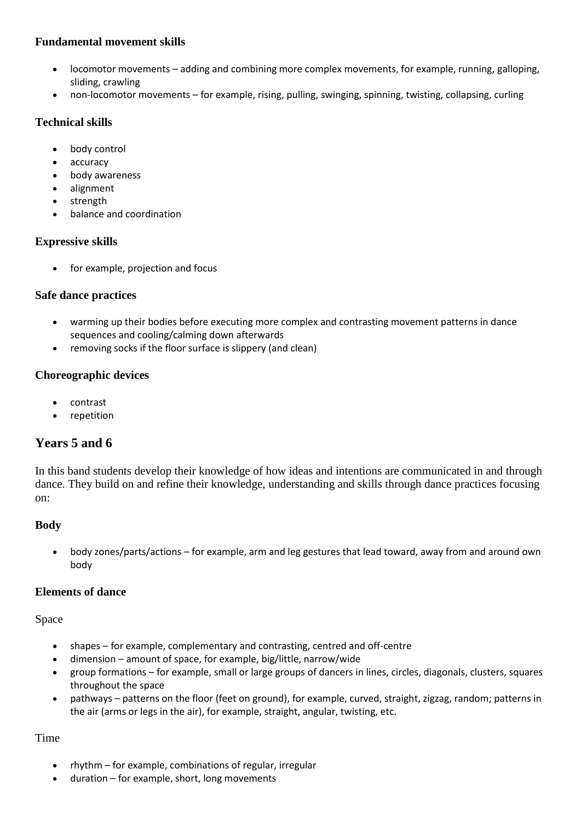#### **Fundamental movement skills**

- locomotor movements adding and combining more complex movements, for example, running, galloping, sliding, crawling
- non-locomotor movements for example, rising, pulling, swinging, spinning, twisting, collapsing, curling

## **Technical skills**

- body control
- accuracy
- body awareness
- alignment
- strength
- balance and coordination

## **Expressive skills**

for example, projection and focus

#### **Safe dance practices**

- warming up their bodies before executing more complex and contrasting movement patterns in dance sequences and cooling/calming down afterwards
- removing socks if the floor surface is slippery (and clean)

## **Choreographic devices**

- contrast
- repetition

# **Years 5 and 6**

In this band students develop their knowledge of how ideas and intentions are communicated in and through dance. They build on and refine their knowledge, understanding and skills through dance practices focusing on:

## **Body**

 body zones/parts/actions – for example, arm and leg gestures that lead toward, away from and around own body

#### **Elements of dance**

Space

- shapes for example, complementary and contrasting, centred and off-centre
- dimension amount of space, for example, big/little, narrow/wide
- group formations for example, small or large groups of dancers in lines, circles, diagonals, clusters, squares throughout the space
- pathways patterns on the floor (feet on ground), for example, curved, straight, zigzag, random; patterns in the air (arms or legs in the air), for example, straight, angular, twisting, etc.

## Time

- rhythm for example, combinations of regular, irregular
- duration for example, short, long movements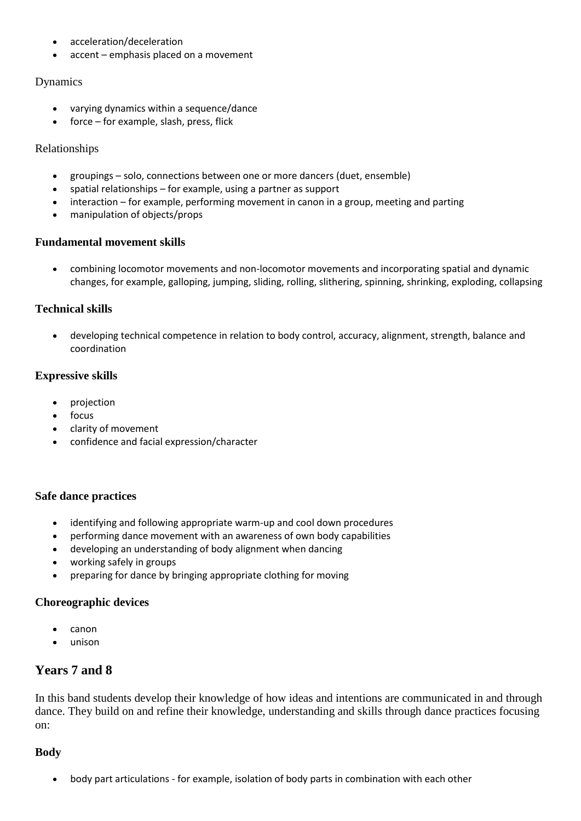- acceleration/deceleration
- accent emphasis placed on a movement

#### Dynamics

- varying dynamics within a sequence/dance
- force for example, slash, press, flick

#### Relationships

- groupings solo, connections between one or more dancers (duet, ensemble)
- spatial relationships for example, using a partner as support
- interaction for example, performing movement in canon in a group, meeting and parting
- manipulation of objects/props

#### **Fundamental movement skills**

 combining locomotor movements and non-locomotor movements and incorporating spatial and dynamic changes, for example, galloping, jumping, sliding, rolling, slithering, spinning, shrinking, exploding, collapsing

## **Technical skills**

 developing technical competence in relation to body control, accuracy, alignment, strength, balance and coordination

## **Expressive skills**

- projection
- focus
- clarity of movement
- confidence and facial expression/character

#### **Safe dance practices**

- identifying and following appropriate warm-up and cool down procedures
- performing dance movement with an awareness of own body capabilities
- developing an understanding of body alignment when dancing
- working safely in groups
- preparing for dance by bringing appropriate clothing for moving

#### **Choreographic devices**

- canon
- unison

# **Years 7 and 8**

In this band students develop their knowledge of how ideas and intentions are communicated in and through dance. They build on and refine their knowledge, understanding and skills through dance practices focusing on:

## **Body**

body part articulations - for example, isolation of body parts in combination with each other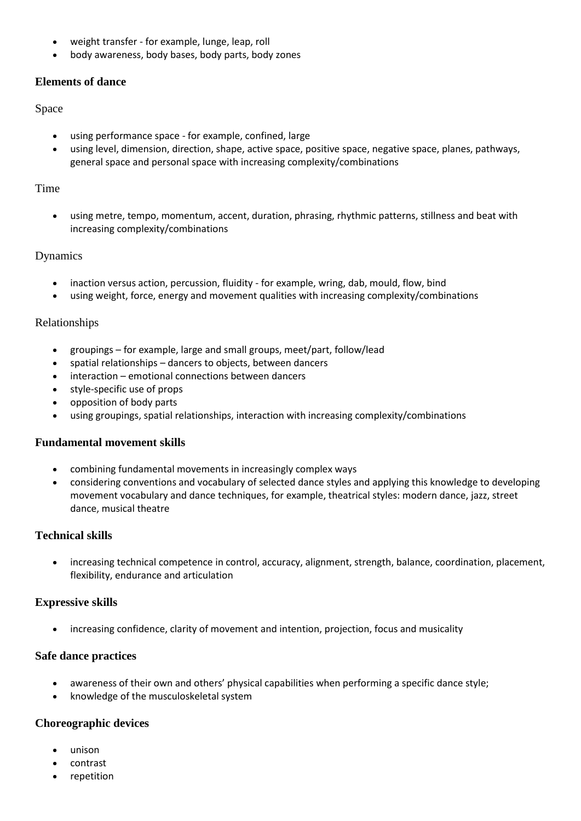- weight transfer for example, lunge, leap, roll
- body awareness, body bases, body parts, body zones

## **Elements of dance**

#### Space

- using performance space for example, confined, large
- using level, dimension, direction, shape, active space, positive space, negative space, planes, pathways, general space and personal space with increasing complexity/combinations

#### Time

 using metre, tempo, momentum, accent, duration, phrasing, rhythmic patterns, stillness and beat with increasing complexity/combinations

## Dynamics

- inaction versus action, percussion, fluidity for example, wring, dab, mould, flow, bind
- using weight, force, energy and movement qualities with increasing complexity/combinations

## Relationships

- groupings for example, large and small groups, meet/part, follow/lead
- spatial relationships dancers to objects, between dancers
- interaction emotional connections between dancers
- style-specific use of props
- opposition of body parts
- using groupings, spatial relationships, interaction with increasing complexity/combinations

## **Fundamental movement skills**

- combining fundamental movements in increasingly complex ways
- considering conventions and vocabulary of selected dance styles and applying this knowledge to developing movement vocabulary and dance techniques, for example, theatrical styles: modern dance, jazz, street dance, musical theatre

## **Technical skills**

 increasing technical competence in control, accuracy, alignment, strength, balance, coordination, placement, flexibility, endurance and articulation

## **Expressive skills**

increasing confidence, clarity of movement and intention, projection, focus and musicality

## **Safe dance practices**

- awareness of their own and others' physical capabilities when performing a specific dance style;
- knowledge of the musculoskeletal system

## **Choreographic devices**

- unison
- contrast
- repetition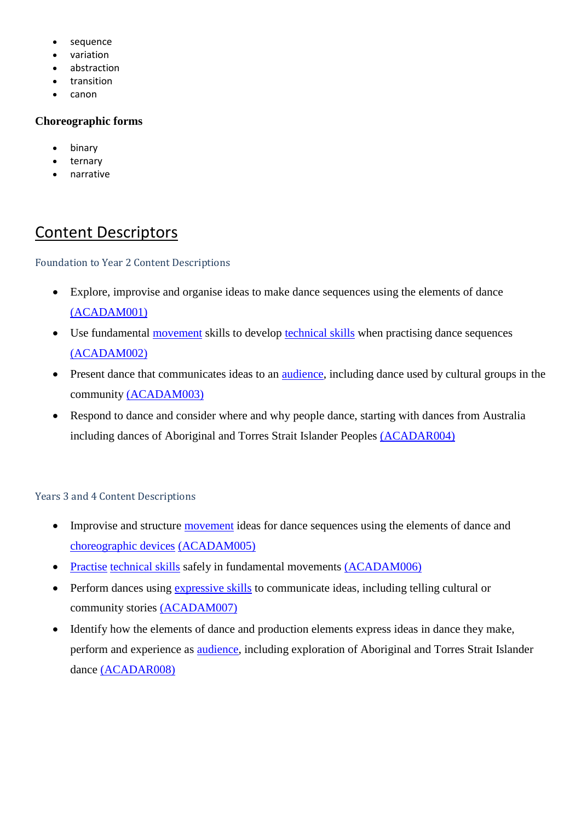- sequence
- variation
- abstraction
- transition
- canon

## **Choreographic forms**

- binary
- ternary
- narrative

# Content Descriptors

Foundation to Year 2 Content Descriptions

- Explore, improvise and organise ideas to make dance sequences using the elements of dance [\(ACADAM001\)](http://www.australiancurriculum.edu.au/curriculum/contentdescription/ACADAM001)
- Use fundamental [movement](http://www.australiancurriculum.edu.au/glossary/popup?a=TheArts&t=movement) skills to develop [technical skills](http://www.australiancurriculum.edu.au/glossary/popup?a=TheArts&t=technical+skills) when practising dance sequences [\(ACADAM002\)](http://www.australiancurriculum.edu.au/curriculum/contentdescription/ACADAM002)
- Present dance that communicates ideas to an [audience,](http://www.australiancurriculum.edu.au/glossary/popup?a=TheArts&t=audience) including dance used by cultural groups in the community [\(ACADAM003\)](http://www.australiancurriculum.edu.au/curriculum/contentdescription/ACADAM003)
- Respond to dance and consider where and why people dance, starting with dances from Australia including dances of Aboriginal and Torres Strait Islander Peoples [\(ACADAR004\)](http://www.australiancurriculum.edu.au/curriculum/contentdescription/ACADAR004)

## Years 3 and 4 Content Descriptions

- Improvise and structure [movement](http://www.australiancurriculum.edu.au/glossary/popup?a=TheArts&t=movement) ideas for dance sequences using the elements of dance and [choreographic devices](http://www.australiancurriculum.edu.au/glossary/popup?a=TheArts&t=choreographic+devices) [\(ACADAM005\)](http://www.australiancurriculum.edu.au/curriculum/contentdescription/ACADAM005)
- [Practise](http://www.australiancurriculum.edu.au/glossary/popup?a=TheArts&t=practise) [technical skills](http://www.australiancurriculum.edu.au/glossary/popup?a=TheArts&t=technical+skills) safely in fundamental movements [\(ACADAM006\)](http://www.australiancurriculum.edu.au/curriculum/contentdescription/ACADAM006)
- Perform dances using [expressive skills](http://www.australiancurriculum.edu.au/glossary/popup?a=TheArts&t=expressive+skills) to communicate ideas, including telling cultural or community stories [\(ACADAM007\)](http://www.australiancurriculum.edu.au/curriculum/contentdescription/ACADAM007)
- Identify how the elements of dance and production elements express ideas in dance they make, perform and experience as [audience,](http://www.australiancurriculum.edu.au/glossary/popup?a=TheArts&t=audience) including exploration of Aboriginal and Torres Strait Islander dance [\(ACADAR008\)](http://www.australiancurriculum.edu.au/curriculum/contentdescription/ACADAR008)